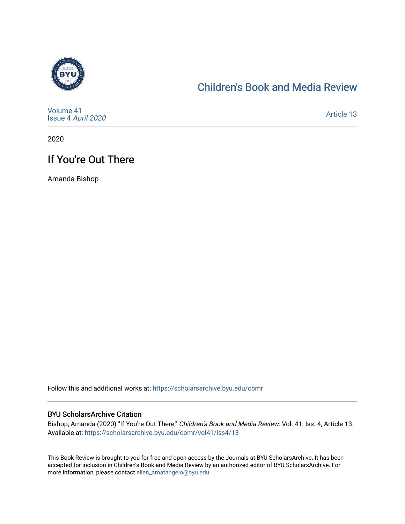

# [Children's Book and Media Review](https://scholarsarchive.byu.edu/cbmr)

| Volume 41<br>Issue 4 April 2020 | Article 13 |
|---------------------------------|------------|
|---------------------------------|------------|

2020

# If You're Out There

Amanda Bishop

Follow this and additional works at: [https://scholarsarchive.byu.edu/cbmr](https://scholarsarchive.byu.edu/cbmr?utm_source=scholarsarchive.byu.edu%2Fcbmr%2Fvol41%2Fiss4%2F13&utm_medium=PDF&utm_campaign=PDFCoverPages) 

#### BYU ScholarsArchive Citation

Bishop, Amanda (2020) "If You're Out There," Children's Book and Media Review: Vol. 41: Iss. 4, Article 13. Available at: [https://scholarsarchive.byu.edu/cbmr/vol41/iss4/13](https://scholarsarchive.byu.edu/cbmr/vol41/iss4/13?utm_source=scholarsarchive.byu.edu%2Fcbmr%2Fvol41%2Fiss4%2F13&utm_medium=PDF&utm_campaign=PDFCoverPages)

This Book Review is brought to you for free and open access by the Journals at BYU ScholarsArchive. It has been accepted for inclusion in Children's Book and Media Review by an authorized editor of BYU ScholarsArchive. For more information, please contact [ellen\\_amatangelo@byu.edu.](mailto:ellen_amatangelo@byu.edu)